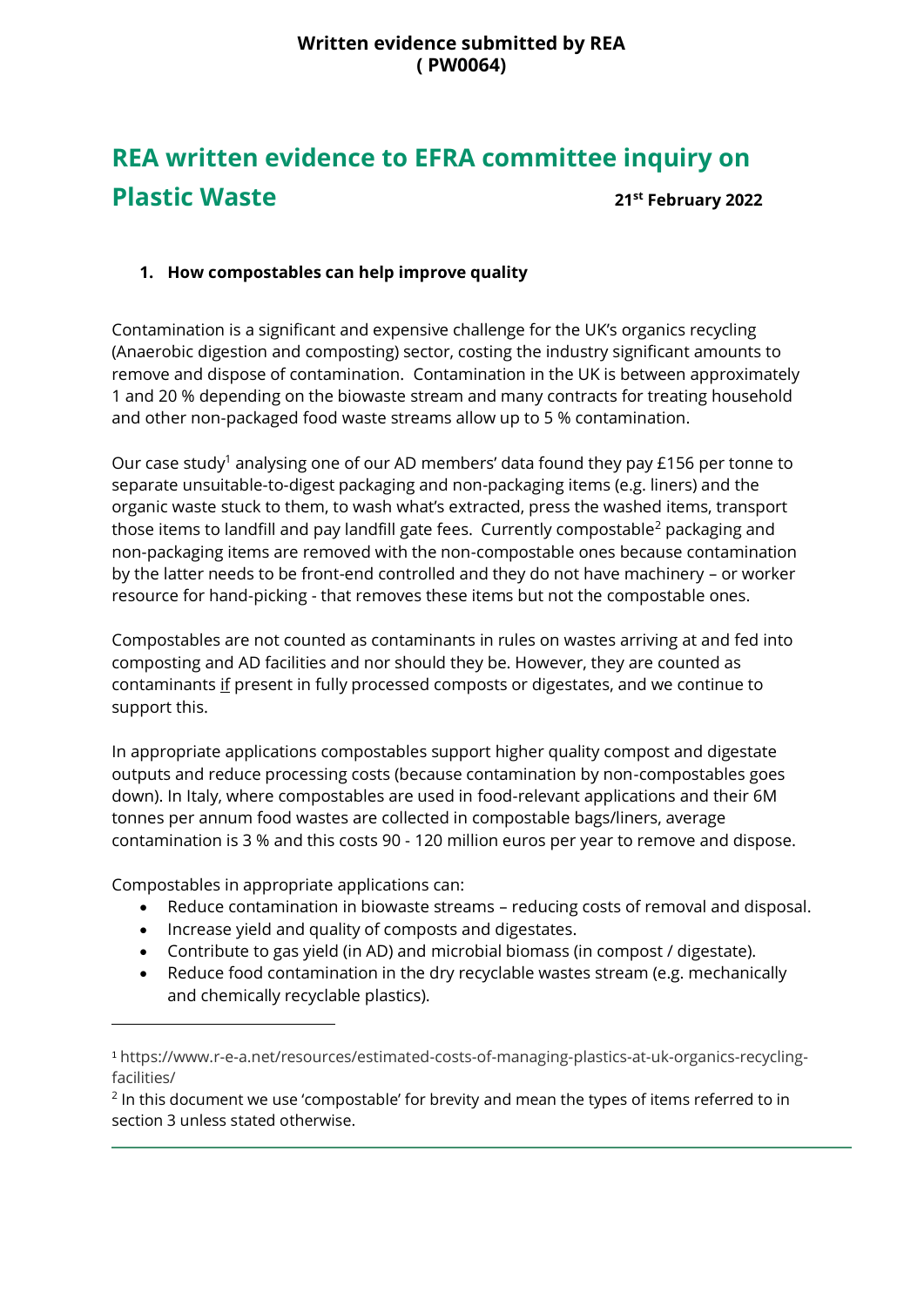## **Written evidence submitted by REA ( PW0064)**

# **REA written evidence to EFRA committee inquiry on Plastic Waste 21st February 2022**

## **1. How compostables can help improve quality**

Contamination is a significant and expensive challenge for the UK's organics recycling (Anaerobic digestion and composting) sector, costing the industry significant amounts to remove and dispose of contamination. Contamination in the UK is between approximately 1 and 20 % depending on the biowaste stream and many contracts for treating household and other non-packaged food waste streams allow up to 5 % contamination.

Our case study<sup>1</sup> analysing one of our AD members' data found they pay £156 per tonne to separate unsuitable-to-digest packaging and non-packaging items (e.g. liners) and the organic waste stuck to them, to wash what's extracted, press the washed items, transport those items to landfill and pay landfill gate fees. Currently compostable<sup>2</sup> packaging and non-packaging items are removed with the non-compostable ones because contamination by the latter needs to be front-end controlled and they do not have machinery – or worker resource for hand-picking - that removes these items but not the compostable ones.

Compostables are not counted as contaminants in rules on wastes arriving at and fed into composting and AD facilities and nor should they be. However, they are counted as contaminants if present in fully processed composts or digestates, and we continue to support this.

In appropriate applications compostables support higher quality compost and digestate outputs and reduce processing costs (because contamination by non-compostables goes down). In Italy, where compostables are used in food-relevant applications and their 6M tonnes per annum food wastes are collected in compostable bags/liners, average contamination is 3 % and this costs 90 - 120 million euros per year to remove and dispose.

Compostables in appropriate applications can:

- Reduce contamination in biowaste streams reducing costs of removal and disposal.
- Increase yield and quality of composts and digestates.
- Contribute to gas yield (in AD) and microbial biomass (in compost / digestate).
- Reduce food contamination in the dry recyclable wastes stream (e.g. mechanically and chemically recyclable plastics).

<sup>1</sup> https://www.r-e-a.net/resources/estimated-costs-of-managing-plastics-at-uk-organics-recyclingfacilities/

 $2$  In this document we use 'compostable' for brevity and mean the types of items referred to in section 3 unless stated otherwise.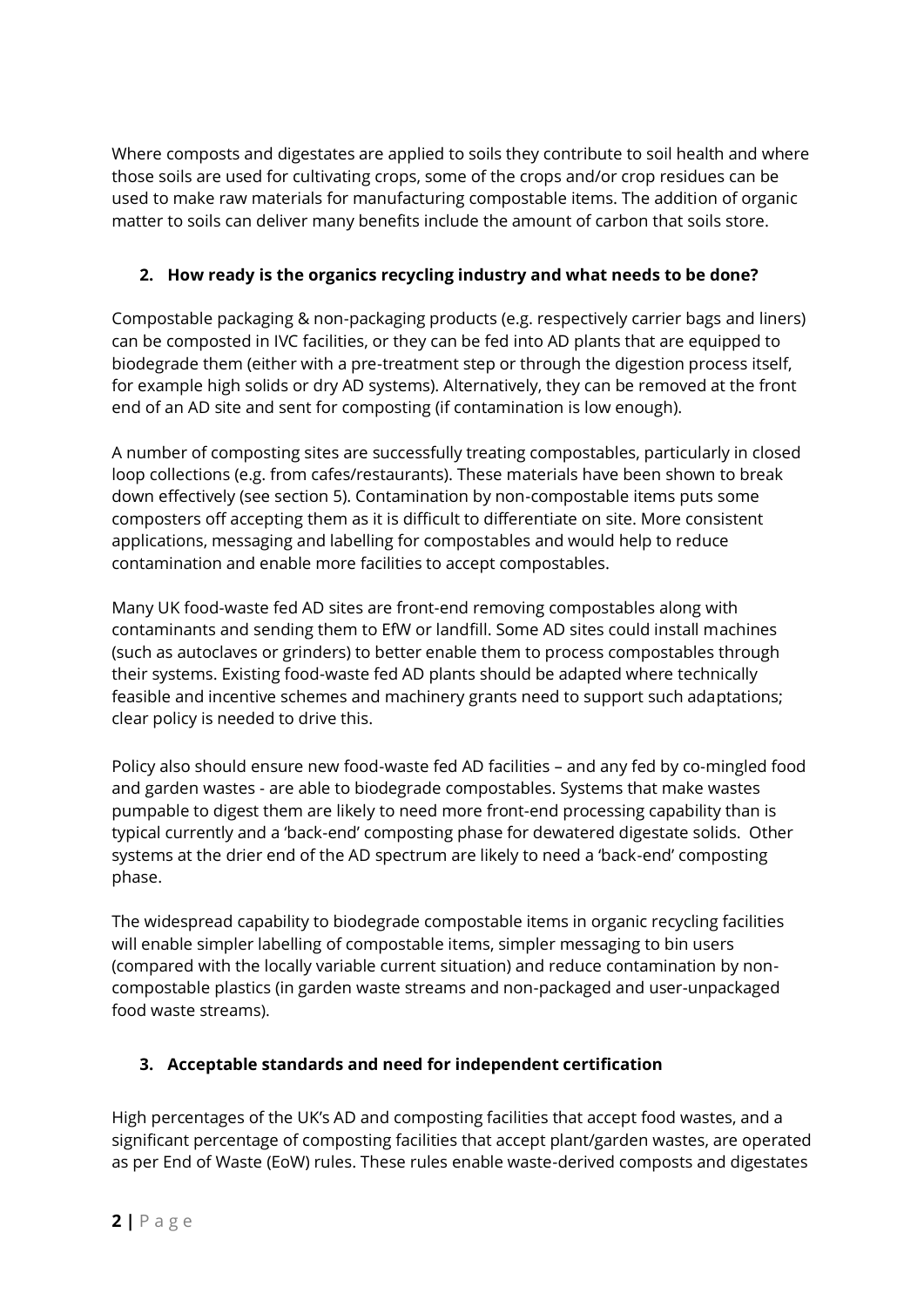Where composts and digestates are applied to soils they contribute to soil health and where those soils are used for cultivating crops, some of the crops and/or crop residues can be used to make raw materials for manufacturing compostable items. The addition of organic matter to soils can deliver many benefits include the amount of carbon that soils store.

# **2. How ready is the organics recycling industry and what needs to be done?**

Compostable packaging & non-packaging products (e.g. respectively carrier bags and liners) can be composted in IVC facilities, or they can be fed into AD plants that are equipped to biodegrade them (either with a pre-treatment step or through the digestion process itself, for example high solids or dry AD systems). Alternatively, they can be removed at the front end of an AD site and sent for composting (if contamination is low enough).

A number of composting sites are successfully treating compostables, particularly in closed loop collections (e.g. from cafes/restaurants). These materials have been shown to break down effectively (see section 5). Contamination by non-compostable items puts some composters off accepting them as it is difficult to differentiate on site. More consistent applications, messaging and labelling for compostables and would help to reduce contamination and enable more facilities to accept compostables.

Many UK food-waste fed AD sites are front-end removing compostables along with contaminants and sending them to EfW or landfill. Some AD sites could install machines (such as autoclaves or grinders) to better enable them to process compostables through their systems. Existing food-waste fed AD plants should be adapted where technically feasible and incentive schemes and machinery grants need to support such adaptations; clear policy is needed to drive this.

Policy also should ensure new food-waste fed AD facilities – and any fed by co-mingled food and garden wastes - are able to biodegrade compostables. Systems that make wastes pumpable to digest them are likely to need more front-end processing capability than is typical currently and a 'back-end' composting phase for dewatered digestate solids. Other systems at the drier end of the AD spectrum are likely to need a 'back-end' composting phase.

The widespread capability to biodegrade compostable items in organic recycling facilities will enable simpler labelling of compostable items, simpler messaging to bin users (compared with the locally variable current situation) and reduce contamination by noncompostable plastics (in garden waste streams and non-packaged and user-unpackaged food waste streams).

## **3. Acceptable standards and need for independent certification**

High percentages of the UK's AD and composting facilities that accept food wastes, and a significant percentage of composting facilities that accept plant/garden wastes, are operated as per End of Waste (EoW) rules. These rules enable waste-derived composts and digestates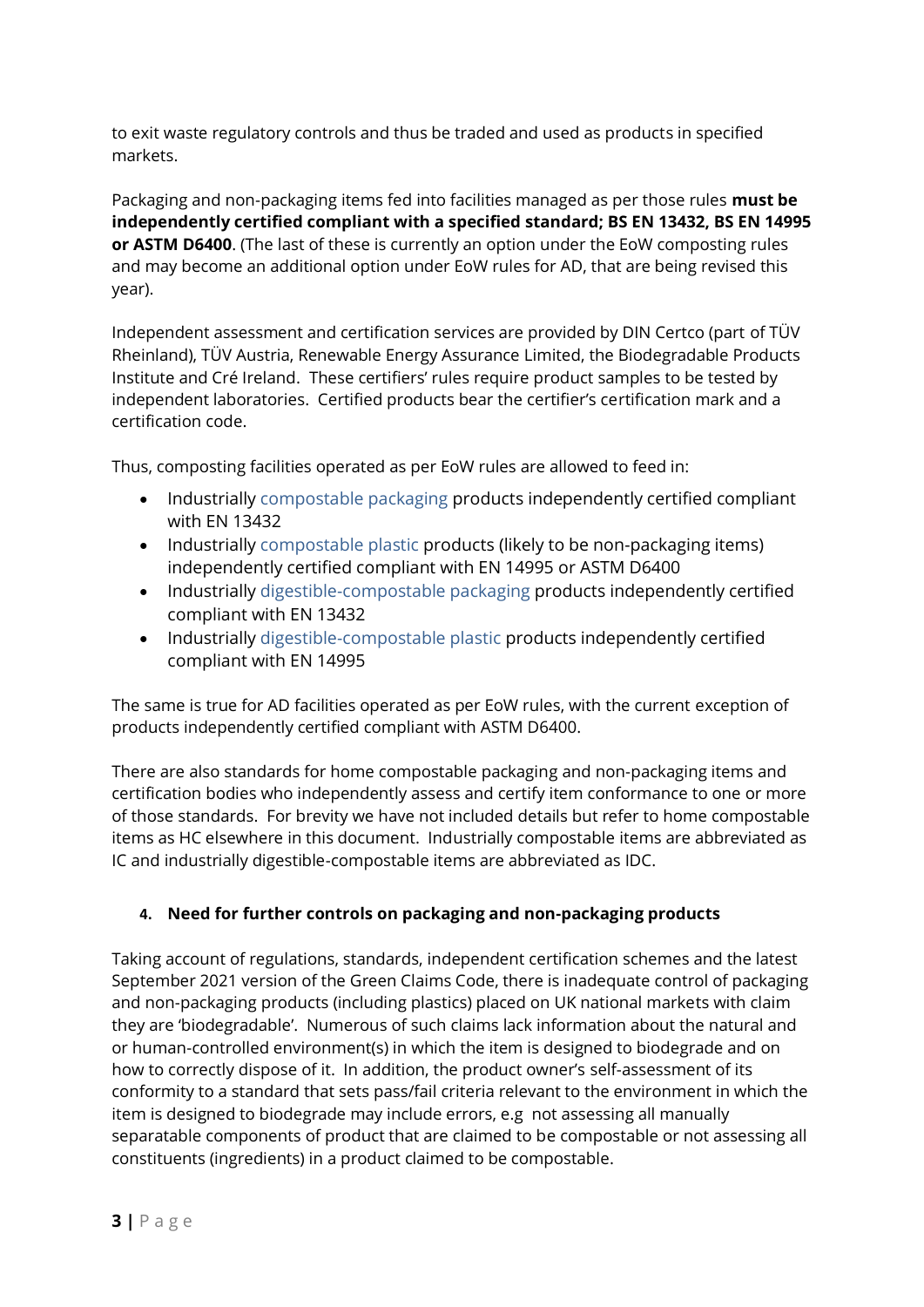to exit waste regulatory controls and thus be traded and used as products in specified markets.

Packaging and non-packaging items fed into facilities managed as per those rules **must be independently certified compliant with a specified standard; BS EN 13432, BS EN 14995 or ASTM D6400**. (The last of these is currently an option under the EoW composting rules and may become an additional option under EoW rules for AD, that are being revised this year).

Independent assessment and certification services are provided by DIN Certco (part of TÜV Rheinland), TÜV Austria, Renewable Energy Assurance Limited, the Biodegradable Products Institute and Cré Ireland. These certifiers' rules require product samples to be tested by independent laboratories. Certified products bear the certifier's certification mark and a certification code.

Thus, composting facilities operated as per EoW rules are allowed to feed in:

- Industrially compostable packaging products independently certified compliant with EN 13432
- Industrially compostable plastic products (likely to be non-packaging items) independently certified compliant with EN 14995 or ASTM D6400
- Industrially digestible-compostable packaging products independently certified compliant with EN 13432
- Industrially digestible-compostable plastic products independently certified compliant with EN 14995

The same is true for AD facilities operated as per EoW rules, with the current exception of products independently certified compliant with ASTM D6400.

There are also standards for home compostable packaging and non-packaging items and certification bodies who independently assess and certify item conformance to one or more of those standards. For brevity we have not included details but refer to home compostable items as HC elsewhere in this document. Industrially compostable items are abbreviated as IC and industrially digestible-compostable items are abbreviated as IDC.

#### **4. Need for further controls on packaging and non-packaging products**

Taking account of regulations, standards, independent certification schemes and the latest September 2021 version of the Green Claims Code, there is inadequate control of packaging and non-packaging products (including plastics) placed on UK national markets with claim they are 'biodegradable'. Numerous of such claims lack information about the natural and or human-controlled environment(s) in which the item is designed to biodegrade and on how to correctly dispose of it. In addition, the product owner's self-assessment of its conformity to a standard that sets pass/fail criteria relevant to the environment in which the item is designed to biodegrade may include errors, e.g not assessing all manually separatable components of product that are claimed to be compostable or not assessing all constituents (ingredients) in a product claimed to be compostable.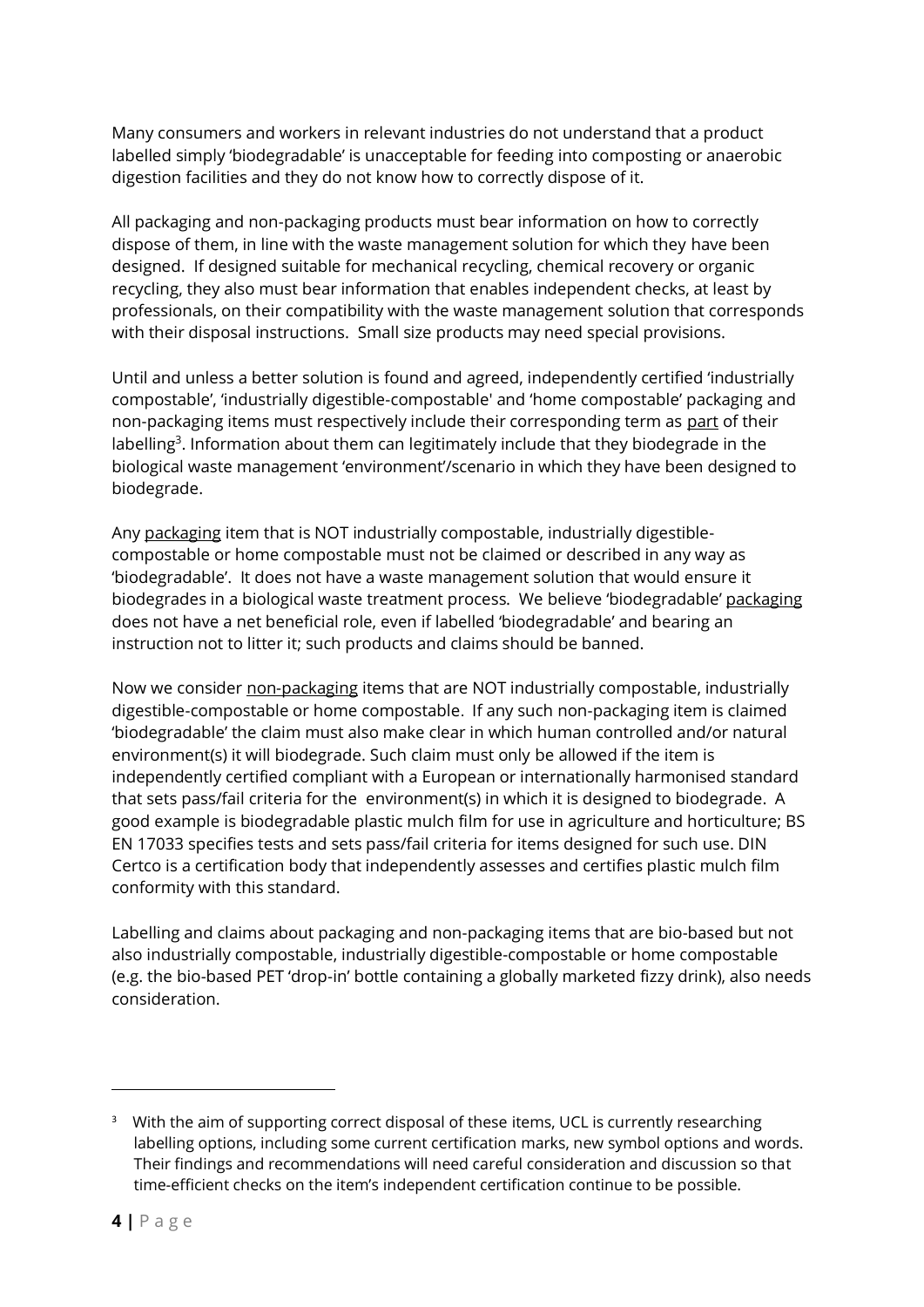Many consumers and workers in relevant industries do not understand that a product labelled simply 'biodegradable' is unacceptable for feeding into composting or anaerobic digestion facilities and they do not know how to correctly dispose of it.

All packaging and non-packaging products must bear information on how to correctly dispose of them, in line with the waste management solution for which they have been designed. If designed suitable for mechanical recycling, chemical recovery or organic recycling, they also must bear information that enables independent checks, at least by professionals, on their compatibility with the waste management solution that corresponds with their disposal instructions. Small size products may need special provisions.

Until and unless a better solution is found and agreed, independently certified 'industrially compostable', 'industrially digestible-compostable' and 'home compostable' packaging and non-packaging items must respectively include their corresponding term as part of their labelling<sup>3</sup>. Information about them can legitimately include that they biodegrade in the biological waste management 'environment'/scenario in which they have been designed to biodegrade.

Any packaging item that is NOT industrially compostable, industrially digestiblecompostable or home compostable must not be claimed or described in any way as 'biodegradable'. It does not have a waste management solution that would ensure it biodegrades in a biological waste treatment process. We believe 'biodegradable' packaging does not have a net beneficial role, even if labelled 'biodegradable' and bearing an instruction not to litter it; such products and claims should be banned.

Now we consider non-packaging items that are NOT industrially compostable, industrially digestible-compostable or home compostable. If any such non-packaging item is claimed 'biodegradable' the claim must also make clear in which human controlled and/or natural environment(s) it will biodegrade. Such claim must only be allowed if the item is independently certified compliant with a European or internationally harmonised standard that sets pass/fail criteria for the environment(s) in which it is designed to biodegrade. A good example is biodegradable plastic mulch film for use in agriculture and horticulture; BS EN 17033 specifies tests and sets pass/fail criteria for items designed for such use. DIN Certco is a certification body that independently assesses and certifies plastic mulch film conformity with this standard.

Labelling and claims about packaging and non-packaging items that are bio-based but not also industrially compostable, industrially digestible-compostable or home compostable (e.g. the bio-based PET 'drop-in' bottle containing a globally marketed fizzy drink), also needs consideration.

<sup>&</sup>lt;sup>3</sup> With the aim of supporting correct disposal of these items, UCL is currently researching labelling options, including some current certification marks, new symbol options and words. Their findings and recommendations will need careful consideration and discussion so that time-efficient checks on the item's independent certification continue to be possible.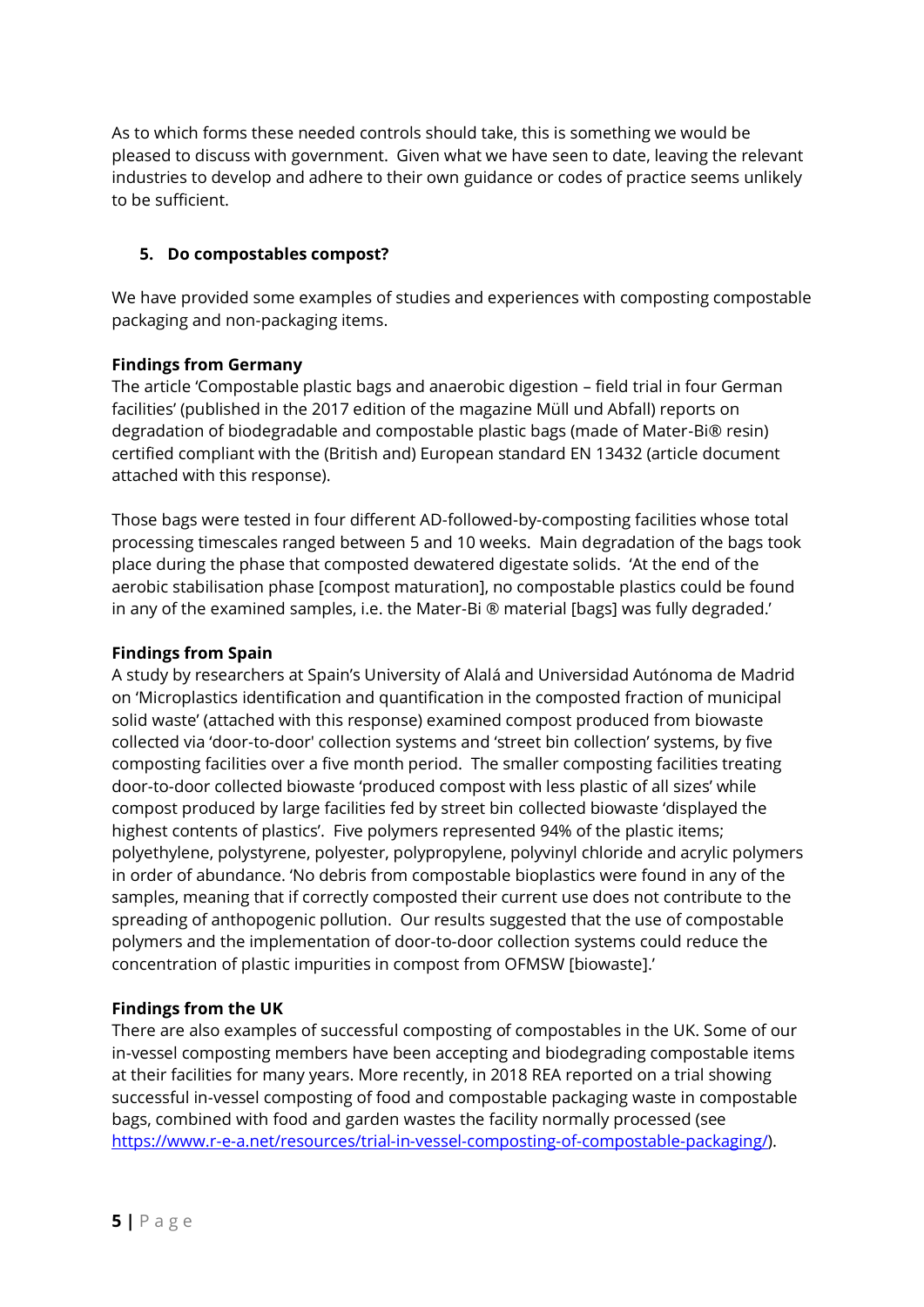As to which forms these needed controls should take, this is something we would be pleased to discuss with government. Given what we have seen to date, leaving the relevant industries to develop and adhere to their own guidance or codes of practice seems unlikely to be sufficient.

#### **5. Do compostables compost?**

We have provided some examples of studies and experiences with composting compostable packaging and non-packaging items.

#### **Findings from Germany**

The article 'Compostable plastic bags and anaerobic digestion – field trial in four German facilities' (published in the 2017 edition of the magazine Müll und Abfall) reports on degradation of biodegradable and compostable plastic bags (made of Mater-Bi® resin) certified compliant with the (British and) European standard EN 13432 (article document attached with this response).

Those bags were tested in four different AD-followed-by-composting facilities whose total processing timescales ranged between 5 and 10 weeks. Main degradation of the bags took place during the phase that composted dewatered digestate solids. 'At the end of the aerobic stabilisation phase [compost maturation], no compostable plastics could be found in any of the examined samples, i.e. the Mater-Bi ® material [bags] was fully degraded.'

#### **Findings from Spain**

A study by researchers at Spain's University of Alalá and Universidad Autónoma de Madrid on 'Microplastics identification and quantification in the composted fraction of municipal solid waste' (attached with this response) examined compost produced from biowaste collected via 'door-to-door' collection systems and 'street bin collection' systems, by five composting facilities over a five month period. The smaller composting facilities treating door-to-door collected biowaste 'produced compost with less plastic of all sizes' while compost produced by large facilities fed by street bin collected biowaste 'displayed the highest contents of plastics'. Five polymers represented 94% of the plastic items; polyethylene, polystyrene, polyester, polypropylene, polyvinyl chloride and acrylic polymers in order of abundance. 'No debris from compostable bioplastics were found in any of the samples, meaning that if correctly composted their current use does not contribute to the spreading of anthopogenic pollution. Our results suggested that the use of compostable polymers and the implementation of door-to-door collection systems could reduce the concentration of plastic impurities in compost from OFMSW [biowaste].'

## **Findings from the UK**

There are also examples of successful composting of compostables in the UK. Some of our in-vessel composting members have been accepting and biodegrading compostable items at their facilities for many years. More recently, in 2018 REA reported on a trial showing successful in-vessel composting of food and compostable packaging waste in compostable bags, combined with food and garden wastes the facility normally processed (see [https://www.r-e-a.net/resources/trial-in-vessel-composting-of-compostable-packaging/\)](https://www.r-e-a.net/resources/trial-in-vessel-composting-of-compostable-packaging/).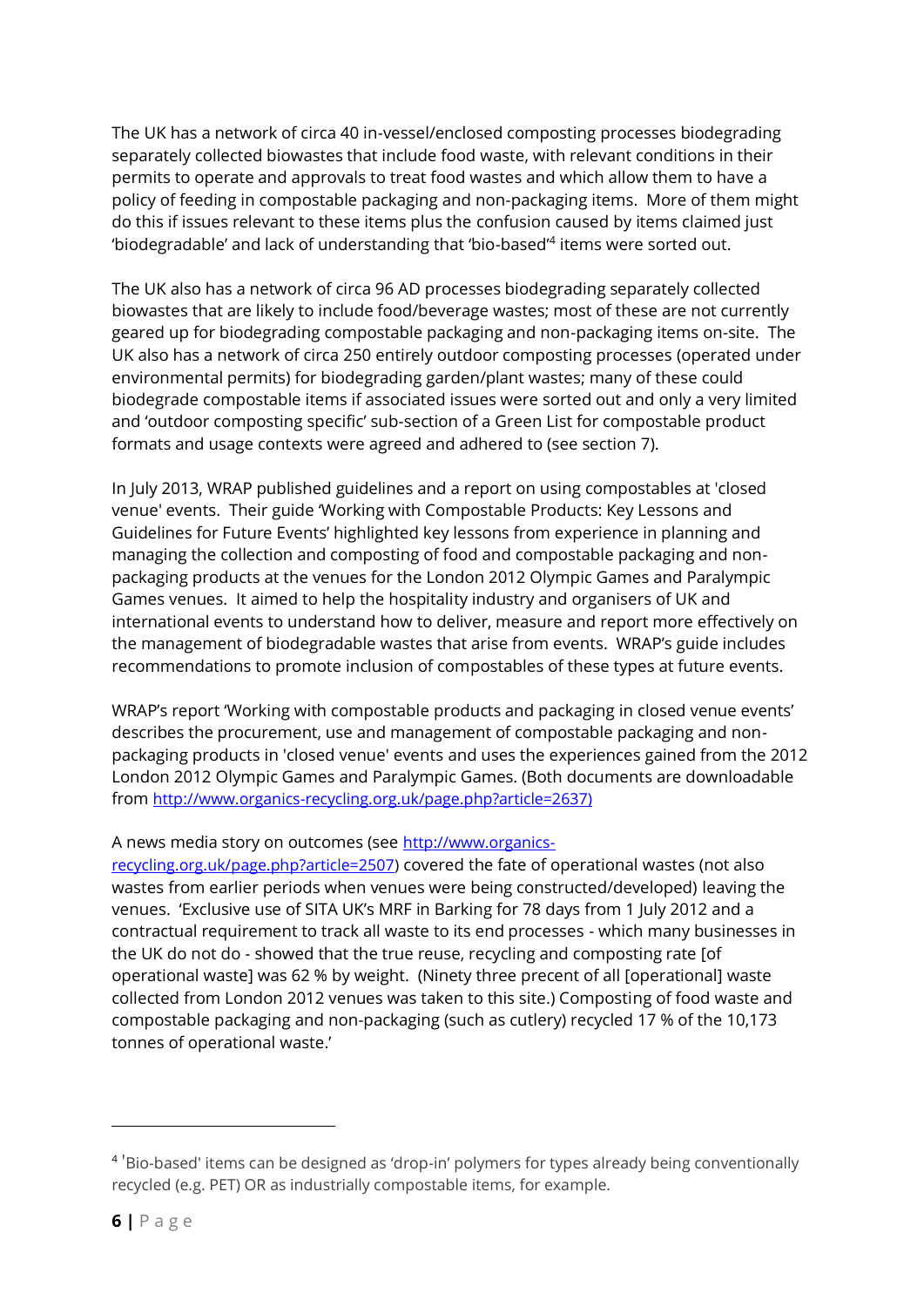The UK has a network of circa 40 in-vessel/enclosed composting processes biodegrading separately collected biowastes that include food waste, with relevant conditions in their permits to operate and approvals to treat food wastes and which allow them to have a policy of feeding in compostable packaging and non-packaging items. More of them might do this if issues relevant to these items plus the confusion caused by items claimed just 'biodegradable' and lack of understanding that 'bio-based'<sup>4</sup> items were sorted out.

The UK also has a network of circa 96 AD processes biodegrading separately collected biowastes that are likely to include food/beverage wastes; most of these are not currently geared up for biodegrading compostable packaging and non-packaging items on-site. The UK also has a network of circa 250 entirely outdoor composting processes (operated under environmental permits) for biodegrading garden/plant wastes; many of these could biodegrade compostable items if associated issues were sorted out and only a very limited and 'outdoor composting specific' sub-section of a Green List for compostable product formats and usage contexts were agreed and adhered to (see section 7).

In July 2013, WRAP published guidelines and a report on using compostables at 'closed venue' events. Their guide 'Working with Compostable Products: Key Lessons and Guidelines for Future Events' highlighted key lessons from experience in planning and managing the collection and composting of food and compostable packaging and nonpackaging products at the venues for the London 2012 Olympic Games and Paralympic Games venues. It aimed to help the hospitality industry and organisers of UK and international events to understand how to deliver, measure and report more effectively on the management of biodegradable wastes that arise from events. WRAP's guide includes recommendations to promote inclusion of compostables of these types at future events.

WRAP's report 'Working with compostable products and packaging in closed venue events' describes the procurement, use and management of compostable packaging and nonpackaging products in 'closed venue' events and uses the experiences gained from the 2012 London 2012 Olympic Games and Paralympic Games. (Both documents are downloadable from [http://www.organics-recycling.org.uk/page.php?article=2637\)](http://www.organics-recycling.org.uk/page.php?article=2637))

#### A news media story on outcomes (see [http://www.organics-](http://www.organics-recycling.org.uk/page.php?article=2507)

[recycling.org.uk/page.php?article=2507\)](http://www.organics-recycling.org.uk/page.php?article=2507) covered the fate of operational wastes (not also wastes from earlier periods when venues were being constructed/developed) leaving the venues. 'Exclusive use of SITA UK's MRF in Barking for 78 days from 1 July 2012 and a contractual requirement to track all waste to its end processes - which many businesses in the UK do not do - showed that the true reuse, recycling and composting rate [of operational waste] was 62 % by weight. (Ninety three precent of all [operational] waste collected from London 2012 venues was taken to this site.) Composting of food waste and compostable packaging and non-packaging (such as cutlery) recycled 17 % of the 10,173 tonnes of operational waste.'

<sup>&</sup>lt;sup>4</sup> 'Bio-based' items can be designed as 'drop-in' polymers for types already being conventionally recycled (e.g. PET) OR as industrially compostable items, for example.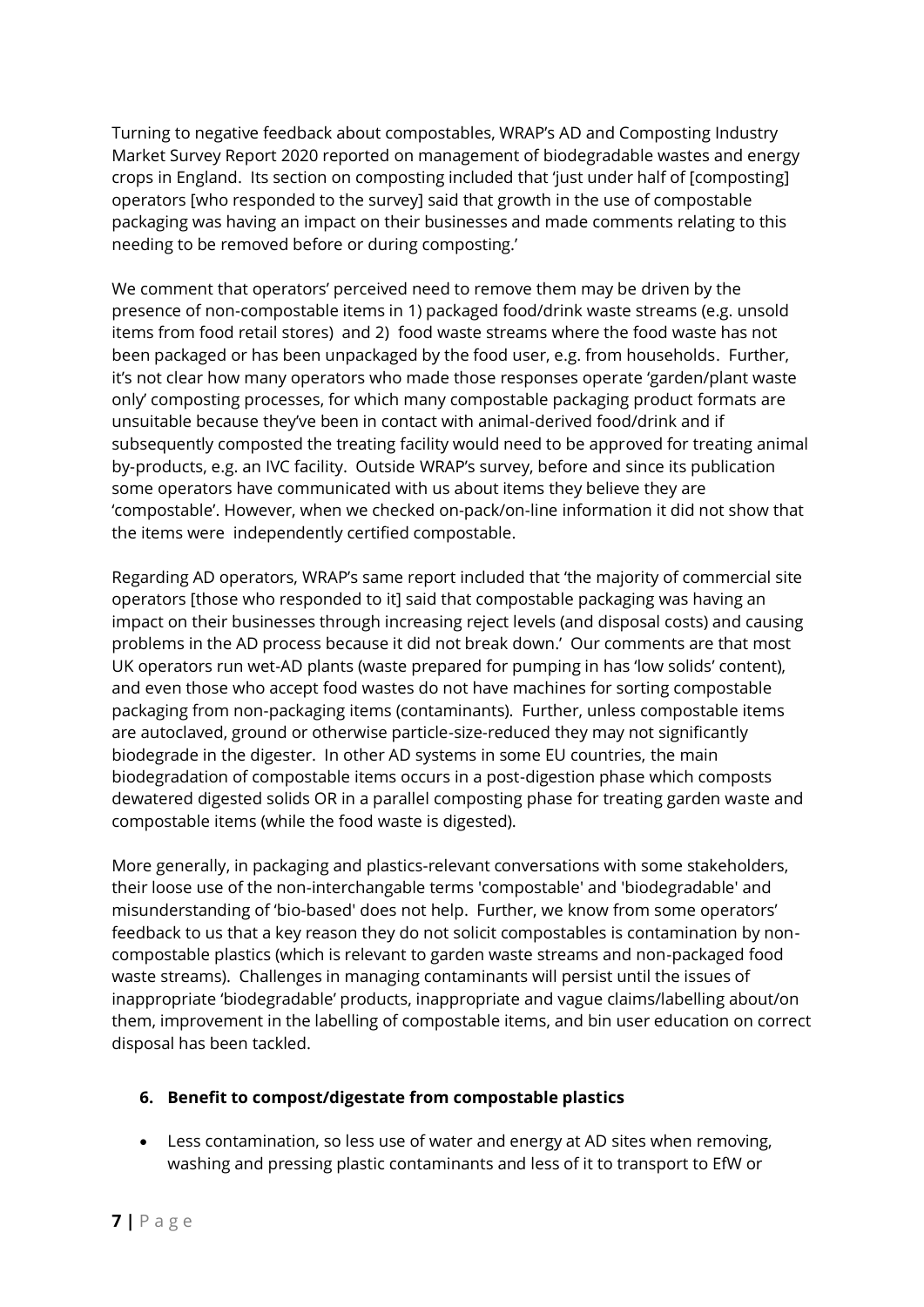Turning to negative feedback about compostables, WRAP's AD and Composting Industry Market Survey Report 2020 reported on management of biodegradable wastes and energy crops in England. Its section on composting included that 'just under half of [composting] operators [who responded to the survey] said that growth in the use of compostable packaging was having an impact on their businesses and made comments relating to this needing to be removed before or during composting.'

We comment that operators' perceived need to remove them may be driven by the presence of non-compostable items in 1) packaged food/drink waste streams (e.g. unsold items from food retail stores) and 2) food waste streams where the food waste has not been packaged or has been unpackaged by the food user, e.g. from households. Further, it's not clear how many operators who made those responses operate 'garden/plant waste only' composting processes, for which many compostable packaging product formats are unsuitable because they've been in contact with animal-derived food/drink and if subsequently composted the treating facility would need to be approved for treating animal by-products, e.g. an IVC facility. Outside WRAP's survey, before and since its publication some operators have communicated with us about items they believe they are 'compostable'. However, when we checked on-pack/on-line information it did not show that the items were independently certified compostable.

Regarding AD operators, WRAP's same report included that 'the majority of commercial site operators [those who responded to it] said that compostable packaging was having an impact on their businesses through increasing reject levels (and disposal costs) and causing problems in the AD process because it did not break down.' Our comments are that most UK operators run wet-AD plants (waste prepared for pumping in has 'low solids' content), and even those who accept food wastes do not have machines for sorting compostable packaging from non-packaging items (contaminants). Further, unless compostable items are autoclaved, ground or otherwise particle-size-reduced they may not significantly biodegrade in the digester. In other AD systems in some EU countries, the main biodegradation of compostable items occurs in a post-digestion phase which composts dewatered digested solids OR in a parallel composting phase for treating garden waste and compostable items (while the food waste is digested).

More generally, in packaging and plastics-relevant conversations with some stakeholders, their loose use of the non-interchangable terms 'compostable' and 'biodegradable' and misunderstanding of 'bio-based' does not help. Further, we know from some operators' feedback to us that a key reason they do not solicit compostables is contamination by noncompostable plastics (which is relevant to garden waste streams and non-packaged food waste streams). Challenges in managing contaminants will persist until the issues of inappropriate 'biodegradable' products, inappropriate and vague claims/labelling about/on them, improvement in the labelling of compostable items, and bin user education on correct disposal has been tackled.

#### **6. Benefit to compost/digestate from compostable plastics**

• Less contamination, so less use of water and energy at AD sites when removing, washing and pressing plastic contaminants and less of it to transport to EfW or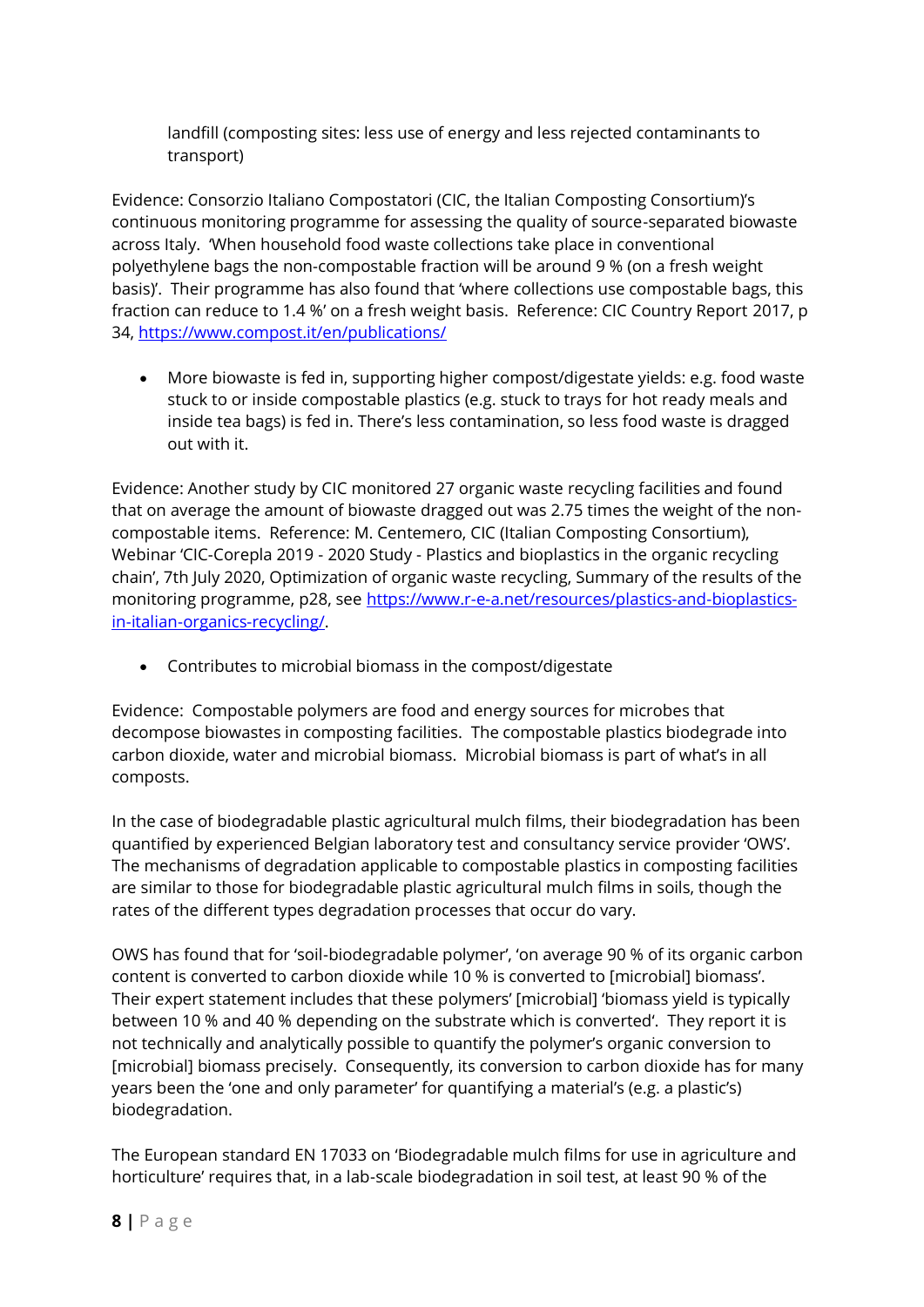landfill (composting sites: less use of energy and less rejected contaminants to transport)

Evidence: Consorzio Italiano Compostatori (CIC, the Italian Composting Consortium)'s continuous monitoring programme for assessing the quality of source-separated biowaste across Italy. 'When household food waste collections take place in conventional polyethylene bags the non-compostable fraction will be around 9 % (on a fresh weight basis)'. Their programme has also found that 'where collections use compostable bags, this fraction can reduce to 1.4 %' on a fresh weight basis. Reference: CIC Country Report 2017, p 34,<https://www.compost.it/en/publications/>

• More biowaste is fed in, supporting higher compost/digestate yields: e.g. food waste stuck to or inside compostable plastics (e.g. stuck to trays for hot ready meals and inside tea bags) is fed in. There's less contamination, so less food waste is dragged out with it.

Evidence: Another study by CIC monitored 27 organic waste recycling facilities and found that on average the amount of biowaste dragged out was 2.75 times the weight of the noncompostable items. Reference: M. Centemero, CIC (Italian Composting Consortium), Webinar 'CIC-Corepla 2019 - 2020 Study - Plastics and bioplastics in the organic recycling chain', 7th July 2020, Optimization of organic waste recycling, Summary of the results of the monitoring programme, p28, see [https://www.r-e-a.net/resources/plastics-and-bioplastics](https://www.r-e-a.net/resources/plastics-and-bioplastics-in-italian-organics-recycling/)[in-italian-organics-recycling/.](https://www.r-e-a.net/resources/plastics-and-bioplastics-in-italian-organics-recycling/)

• Contributes to microbial biomass in the compost/digestate

Evidence: Compostable polymers are food and energy sources for microbes that decompose biowastes in composting facilities. The compostable plastics biodegrade into carbon dioxide, water and microbial biomass. Microbial biomass is part of what's in all composts.

In the case of biodegradable plastic agricultural mulch films, their biodegradation has been quantified by experienced Belgian laboratory test and consultancy service provider 'OWS'. The mechanisms of degradation applicable to compostable plastics in composting facilities are similar to those for biodegradable plastic agricultural mulch films in soils, though the rates of the different types degradation processes that occur do vary.

OWS has found that for 'soil-biodegradable polymer', 'on average 90 % of its organic carbon content is converted to carbon dioxide while 10 % is converted to [microbial] biomass'. Their expert statement includes that these polymers' [microbial] 'biomass yield is typically between 10 % and 40 % depending on the substrate which is converted'. They report it is not technically and analytically possible to quantify the polymer's organic conversion to [microbial] biomass precisely. Consequently, its conversion to carbon dioxide has for many years been the 'one and only parameter' for quantifying a material's (e.g. a plastic's) biodegradation.

The European standard EN 17033 on 'Biodegradable mulch films for use in agriculture and horticulture' requires that, in a lab-scale biodegradation in soil test, at least 90 % of the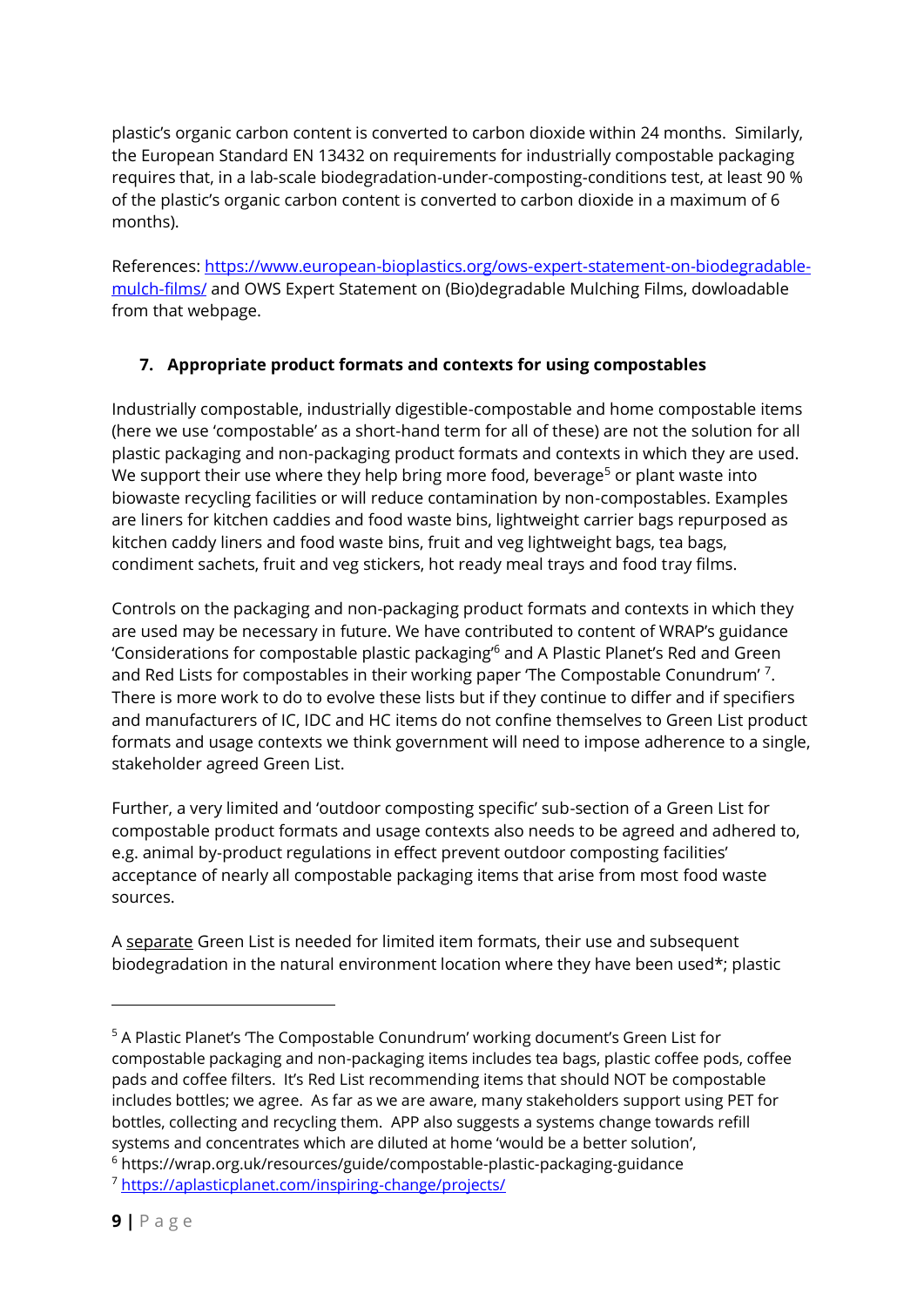plastic's organic carbon content is converted to carbon dioxide within 24 months. Similarly, the European Standard EN 13432 on requirements for industrially compostable packaging requires that, in a lab-scale biodegradation-under-composting-conditions test, at least 90 % of the plastic's organic carbon content is converted to carbon dioxide in a maximum of 6 months).

References: [https://www.european-bioplastics.org/ows-expert-statement-on-biodegradable](https://www.european-bioplastics.org/ows-expert-statement-on-biodegradable-mulch-films/)[mulch-films/](https://www.european-bioplastics.org/ows-expert-statement-on-biodegradable-mulch-films/) and OWS Expert Statement on (Bio)degradable Mulching Films, dowloadable from that webpage.

## **7. Appropriate product formats and contexts for using compostables**

Industrially compostable, industrially digestible-compostable and home compostable items (here we use 'compostable' as a short-hand term for all of these) are not the solution for all plastic packaging and non-packaging product formats and contexts in which they are used. We support their use where they help bring more food, beverage<sup>5</sup> or plant waste into biowaste recycling facilities or will reduce contamination by non-compostables. Examples are liners for kitchen caddies and food waste bins, lightweight carrier bags repurposed as kitchen caddy liners and food waste bins, fruit and veg lightweight bags, tea bags, condiment sachets, fruit and veg stickers, hot ready meal trays and food tray films.

Controls on the packaging and non-packaging product formats and contexts in which they are used may be necessary in future. We have contributed to content of WRAP's guidance 'Considerations for compostable plastic packaging'<sup>6</sup> and A Plastic Planet's Red and Green and Red Lists for compostables in their working paper 'The Compostable Conundrum'<sup>7</sup>. There is more work to do to evolve these lists but if they continue to differ and if specifiers and manufacturers of IC, IDC and HC items do not confine themselves to Green List product formats and usage contexts we think government will need to impose adherence to a single, stakeholder agreed Green List.

Further, a very limited and 'outdoor composting specific' sub-section of a Green List for compostable product formats and usage contexts also needs to be agreed and adhered to, e.g. animal by-product regulations in effect prevent outdoor composting facilities' acceptance of nearly all compostable packaging items that arise from most food waste sources.

A separate Green List is needed for limited item formats, their use and subsequent biodegradation in the natural environment location where they have been used\*; plastic

<sup>5</sup> A Plastic Planet's 'The Compostable Conundrum' working document's Green List for compostable packaging and non-packaging items includes tea bags, plastic coffee pods, coffee pads and coffee filters. It's Red List recommending items that should NOT be compostable includes bottles; we agree. As far as we are aware, many stakeholders support using PET for bottles, collecting and recycling them. APP also suggests a systems change towards refill systems and concentrates which are diluted at home 'would be a better solution', <sup>6</sup> https://wrap.org.uk/resources/guide/compostable-plastic-packaging-guidance

<sup>7</sup> <https://aplasticplanet.com/inspiring-change/projects/>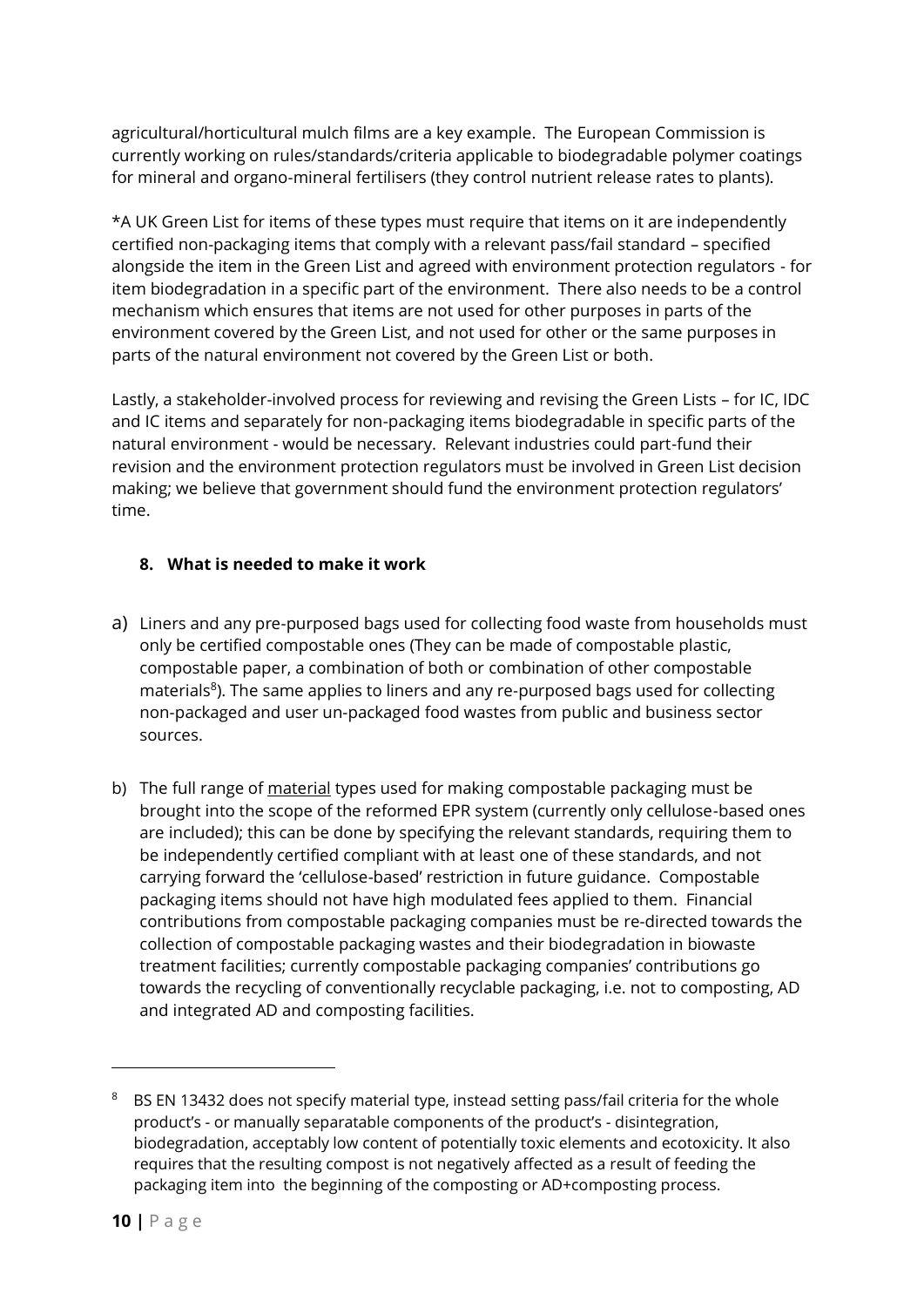agricultural/horticultural mulch films are a key example. The European Commission is currently working on rules/standards/criteria applicable to biodegradable polymer coatings for mineral and organo-mineral fertilisers (they control nutrient release rates to plants).

\*A UK Green List for items of these types must require that items on it are independently certified non-packaging items that comply with a relevant pass/fail standard – specified alongside the item in the Green List and agreed with environment protection regulators - for item biodegradation in a specific part of the environment. There also needs to be a control mechanism which ensures that items are not used for other purposes in parts of the environment covered by the Green List, and not used for other or the same purposes in parts of the natural environment not covered by the Green List or both.

Lastly, a stakeholder-involved process for reviewing and revising the Green Lists – for IC, IDC and IC items and separately for non-packaging items biodegradable in specific parts of the natural environment - would be necessary. Relevant industries could part-fund their revision and the environment protection regulators must be involved in Green List decision making; we believe that government should fund the environment protection regulators' time.

## **8. What is needed to make it work**

- a) Liners and any pre-purposed bags used for collecting food waste from households must only be certified compostable ones (They can be made of compostable plastic, compostable paper, a combination of both or combination of other compostable materials<sup>8</sup>). The same applies to liners and any re-purposed bags used for collecting non-packaged and user un-packaged food wastes from public and business sector sources.
- b) The full range of material types used for making compostable packaging must be brought into the scope of the reformed EPR system (currently only cellulose-based ones are included); this can be done by specifying the relevant standards, requiring them to be independently certified compliant with at least one of these standards, and not carrying forward the 'cellulose-based' restriction in future guidance. Compostable packaging items should not have high modulated fees applied to them. Financial contributions from compostable packaging companies must be re-directed towards the collection of compostable packaging wastes and their biodegradation in biowaste treatment facilities; currently compostable packaging companies' contributions go towards the recycling of conventionally recyclable packaging, i.e. not to composting, AD and integrated AD and composting facilities.

<sup>8</sup> BS EN 13432 does not specify material type, instead setting pass/fail criteria for the whole product's - or manually separatable components of the product's - disintegration, biodegradation, acceptably low content of potentially toxic elements and ecotoxicity. It also requires that the resulting compost is not negatively affected as a result of feeding the packaging item into the beginning of the composting or AD+composting process.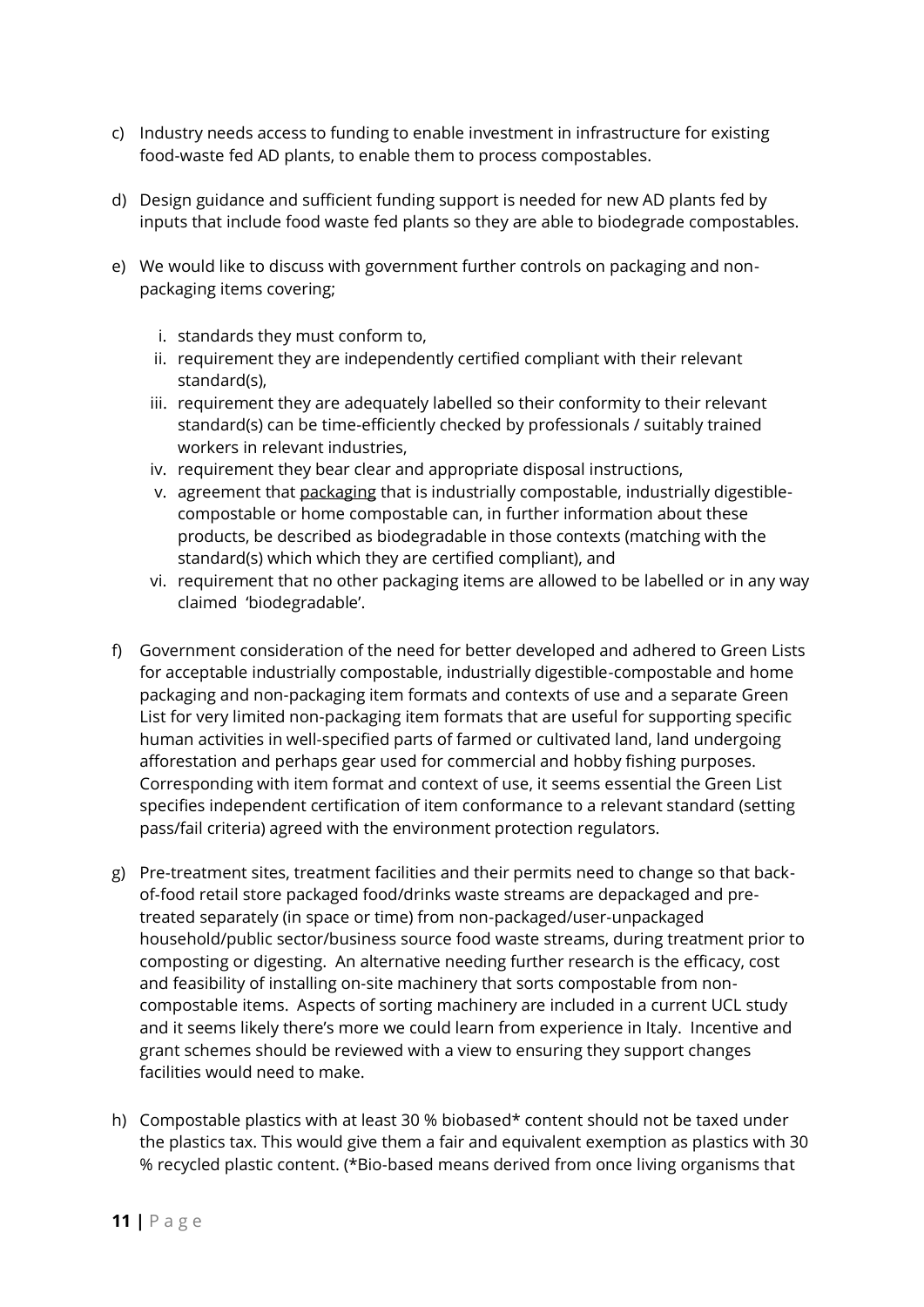- c) Industry needs access to funding to enable investment in infrastructure for existing food-waste fed AD plants, to enable them to process compostables.
- d) Design guidance and sufficient funding support is needed for new AD plants fed by inputs that include food waste fed plants so they are able to biodegrade compostables.
- e) We would like to discuss with government further controls on packaging and nonpackaging items covering;
	- i. standards they must conform to,
	- ii. requirement they are independently certified compliant with their relevant standard(s),
	- iii. requirement they are adequately labelled so their conformity to their relevant standard(s) can be time-efficiently checked by professionals / suitably trained workers in relevant industries,
	- iv. requirement they bear clear and appropriate disposal instructions,
	- v. agreement that packaging that is industrially compostable, industrially digestiblecompostable or home compostable can, in further information about these products, be described as biodegradable in those contexts (matching with the standard(s) which which they are certified compliant), and
	- vi. requirement that no other packaging items are allowed to be labelled or in any way claimed 'biodegradable'.
- f) Government consideration of the need for better developed and adhered to Green Lists for acceptable industrially compostable, industrially digestible-compostable and home packaging and non-packaging item formats and contexts of use and a separate Green List for very limited non-packaging item formats that are useful for supporting specific human activities in well-specified parts of farmed or cultivated land, land undergoing afforestation and perhaps gear used for commercial and hobby fishing purposes. Corresponding with item format and context of use, it seems essential the Green List specifies independent certification of item conformance to a relevant standard (setting pass/fail criteria) agreed with the environment protection regulators.
- g) Pre-treatment sites, treatment facilities and their permits need to change so that backof-food retail store packaged food/drinks waste streams are depackaged and pretreated separately (in space or time) from non-packaged/user-unpackaged household/public sector/business source food waste streams, during treatment prior to composting or digesting. An alternative needing further research is the efficacy, cost and feasibility of installing on-site machinery that sorts compostable from noncompostable items. Aspects of sorting machinery are included in a current UCL study and it seems likely there's more we could learn from experience in Italy. Incentive and grant schemes should be reviewed with a view to ensuring they support changes facilities would need to make.
- h) Compostable plastics with at least 30 % biobased\* content should not be taxed under the plastics tax. This would give them a fair and equivalent exemption as plastics with 30 % recycled plastic content. (\*Bio-based means derived from once living organisms that